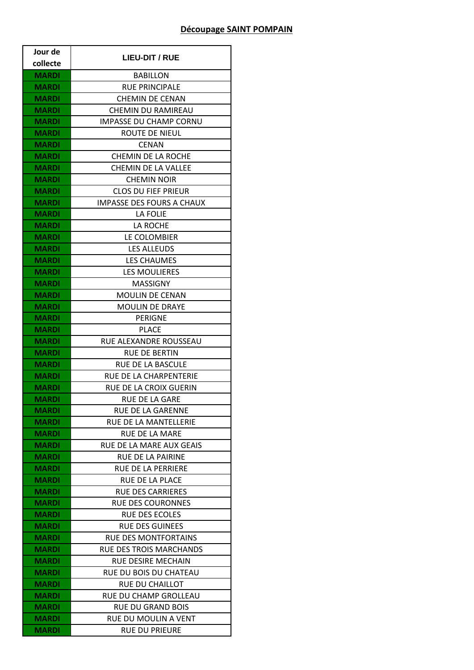## **Découpage SAINT POMPAIN**

| Jour de      | <b>LIEU-DIT / RUE</b>            |
|--------------|----------------------------------|
| collecte     |                                  |
| <b>MARDI</b> | <b>BABILLON</b>                  |
| <b>MARDI</b> | <b>RUE PRINCIPALE</b>            |
| <b>MARDI</b> | <b>CHEMIN DE CENAN</b>           |
| <b>MARDI</b> | CHEMIN DU RAMIREAU               |
| <b>MARDI</b> | <b>IMPASSE DU CHAMP CORNU</b>    |
| <b>MARDI</b> | ROUTE DE NIEUL                   |
| <b>MARDI</b> | <b>CENAN</b>                     |
| <b>MARDI</b> | <b>CHEMIN DE LA ROCHE</b>        |
| <b>MARDI</b> | <b>CHEMIN DE LA VALLEE</b>       |
| <b>MARDI</b> | <b>CHEMIN NOIR</b>               |
| <b>MARDI</b> | <b>CLOS DU FIEF PRIEUR</b>       |
| MARDI        | <b>IMPASSE DES FOURS A CHAUX</b> |
| <b>MARDI</b> | LA FOLIE                         |
| <b>MARDI</b> | LA ROCHE                         |
| MARDI        | LE COLOMBIER                     |
| MARDI        | <b>LES ALLEUDS</b>               |
| <b>MARDI</b> | <b>LES CHAUMES</b>               |
| <b>MARDI</b> | LES MOULIERES                    |
| <b>MARDI</b> | <b>MASSIGNY</b>                  |
| <b>MARDI</b> | <b>MOULIN DE CENAN</b>           |
| MARDI        | <b>MOULIN DE DRAYE</b>           |
| MARDI        | <b>PERIGNE</b>                   |
| <b>MARDI</b> | <b>PLACE</b>                     |
| <b>MARDI</b> | RUE ALEXANDRE ROUSSEAU           |
| <b>MARDI</b> | <b>RUE DE BERTIN</b>             |
| <b>MARDI</b> | <b>RUE DE LA BASCULE</b>         |
| <b>MARDI</b> | RUE DE LA CHARPENTERIE           |
| <b>MARDI</b> | RUE DE LA CROIX GUERIN           |
| <b>MARDI</b> | RUE DE LA GARE                   |
| <b>MARDI</b> | <b>RUE DE LA GARENNE</b>         |
| MARDI        | RUE DE LA MANTELLERIE            |
| <b>MARDI</b> | RUE DE LA MARE                   |
| <b>MARDI</b> | RUE DE LA MARE AUX GEAIS         |
| MARDI        | <b>RUE DE LA PAIRINE</b>         |
| MARDI        | <b>RUE DE LA PERRIERE</b>        |
| <b>MARDI</b> | RUE DE LA PLACE                  |
| MARDI        | <b>RUE DES CARRIERES</b>         |
| <b>MARDI</b> | <b>RUE DES COURONNES</b>         |
| <b>MARDI</b> | <b>RUE DES ECOLES</b>            |
| MARDI        | <b>RUE DES GUINEES</b>           |
| MARDI        | <b>RUE DES MONTFORTAINS</b>      |
| <b>MARDI</b> | <b>RUE DES TROIS MARCHANDS</b>   |
| MARDI        | <b>RUE DESIRE MECHAIN</b>        |
| <b>MARDI</b> | RUE DU BOIS DU CHATEAU           |
| <b>MARDI</b> | <b>RUE DU CHAILLOT</b>           |
| <b>MARDI</b> | RUE DU CHAMP GROLLEAU            |
| MARDI        | <b>RUE DU GRAND BOIS</b>         |
| <b>MARDI</b> | RUE DU MOULIN A VENT             |
| <b>MARDI</b> | <b>RUE DU PRIEURE</b>            |